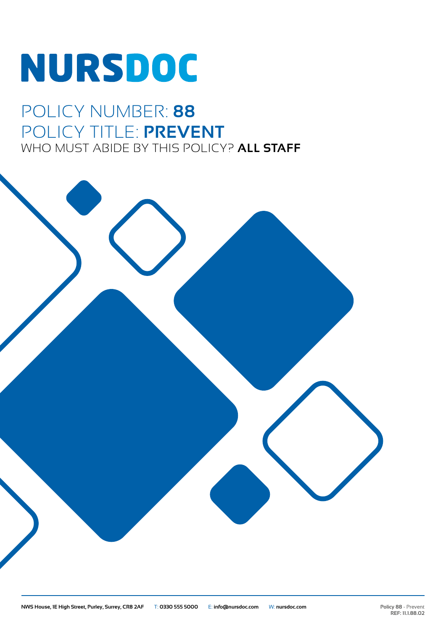# **NURSDOC**

## POLICY NUMBER: **88** POLICY TITLE: **PREVENT** WHO MUST ABIDE BY THIS POLICY? **ALL STAFF**

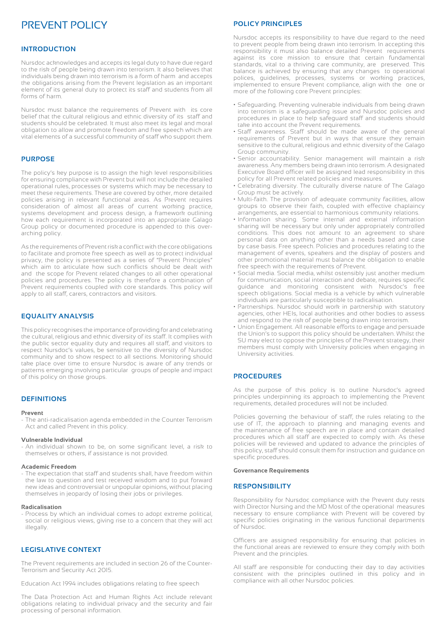### PREVENT POLICY

#### **INTRODUCTION**

Nursdoc acknowledges and accepts its legal duty to have due regard to the risk of people being drawn into terrorism. It also believes that individuals being drawn into terrorism is a form of harm and accepts the obligations arising from the Prevent legislation as an important element of its general duty to protect its staff and students from all forms of harm.

Nursdoc must balance the requirements of Prevent with its core belief that the cultural religious and ethnic diversity of its staff and students should be celebrated. It must also meet its legal and moral obligation to allow and promote freedom and free speech which are vital elements of a successful community of staff who support them.

#### **PURPOSE**

The policy's key purpose is to assign the high level responsibilities for ensuring compliance with Prevent but will not include the detailed operational rules, processes or systems which may be necessary to meet these requirements. These are covered by other, more detailed policies arising in relevant functional areas. As Prevent requires consideration of almost all areas of current working practice, systems development and process design, a framework outlining how each requirement is incorporated into an appropriate Galago Group policy or documented procedure is appended to this overarching policy.

As the requirements of Prevent risk a conflict with the core obligations to facilitate and promote free speech as well as to protect individual privacy, the policy is presented as a series of "Prevent Principles" which aim to articulate how such conflicts should be dealt with and the scope for Prevent related changes to all other operational policies and procedures. The policy is therefore a combination of Prevent requirements coupled with core standards. This policy will apply to all staff, carers, contractors and visitors.

#### **EQUALITY ANALYSIS**

This policy recognises the importance of providing for and celebrating the cultural, religious and ethnic diversity of its staff. It complies with the public sector equality duty and requires all staff, and visitors to respect Nursdoc's values, be sensitive to the diversity of Nursdoc community and to show respect to all sections. Monitoring should take place over time to ensure Nursdoc is aware of any trends or patterns emerging involving particular groups of people and impact of this policy on those groups.

#### **DEFINITIONS**

#### **Prevent**

- The anti-radicalisation agenda embedded in the Counter Terrorism Act and called Prevent in this policy.

#### **Vulnerable Individual**

- An individual shown to be, on some significant level, a risk to themselves or others, if assistance is not provided.

#### **Academic Freedom**

- The expectation that staff and students shall, have freedom within the law to question and test received wisdom and to put forward new ideas and controversial or unpopular opinions, without placing themselves in jeopardy of losing their jobs or privileges.

#### **Radicalisation**

- Process by which an individual comes to adopt extreme political, social or religious views, giving rise to a concern that they will act illegally.

#### **LEGISLATIVE CONTEXT**

The Prevent requirements are included in section 26 of the Counter-Terrorism and Security Act 2015.

Education Act 1994 includes obligations relating to free speech

The Data Protection Act and Human Rights Act include relevant obligations relating to individual privacy and the security and fair processing of personal information.

#### **POLICY PRINCIPLES**

Nursdoc accepts its responsibility to have due regard to the need to prevent people from being drawn into terrorism. In accepting this responsibility it must also balance detailed Prevent requirements against its core mission to ensure that certain fundamental standards, vital to a thriving care community, are preserved. This balance is achieved by ensuring that any changes to operational polices, guidelines, processes, systems or working practices, implemented to ensure Prevent compliance, align with the one or more of the following core Prevent principles:

- Safeguarding. Preventing vulnerable individuals from being drawn into terrorism is a safeguarding issue and Nursdoc policies and procedures in place to help safeguard staff and students should take into account the Prevent requirements.
- Staff awareness. Staff should be made aware of the general requirements of Prevent but in ways that ensure they remain sensitive to the cultural, religious and ethnic diversity of the Galago Group community.
- Senior accountability. Senior management will maintain a risk awareness. Any members being drawn into terrorism. A designated Executive Board officer will be assigned lead responsibility in this policy for all Prevent related policies and measures.
- Celebrating diversity. The culturally diverse nature of The Galago Group must be actively.
- Multi-faith. The provision of adequate community facilities, allow groups to observe their faith, coupled with effective chaplaincy arrangements, are essential to harmonious community relations.
- Information sharing. Some internal and external information sharing will be necessary but only under appropriately controlled conditions. This does not amount to an agreement to share personal data on anything other than a needs based and case by case basis. Free speech. Policies and procedures relating to the management of events, speakers and the display of posters and other promotional material must balance the obligation to enable free speech with the requirements of Prevent.
- Social media. Social media, whilst ostensibly just another medium for communication, social interaction and debate, requires specific guidance and monitoring consistent with Nursdoc's free speech obligations. Social media is a vehicle by which vulnerable individuals are particularly susceptible to radicalisation.
- Partnerships. Nursdoc should work in partnership with statutory agencies, other HEIs, local authorities and other bodies to assess and respond to the risk of people being drawn into terrorism.
- Union Engagement. All reasonable efforts to engage and persuade the Union's to support this policy should be undertaken. Whilst the SU may elect to oppose the principles of the Prevent strategy, their members must comply with University policies when engaging in University activities.

#### **PROCEDURES**

As the purpose of this policy is to outline Nursdoc's agreed principles underpinning its approach to implementing the Prevent requirements, detailed procedures will not be included.

Policies governing the behaviour of staff, the rules relating to the use of IT, the approach to planning and managing events and the maintenance of free speech are in place and contain detailed procedures which all staff are expected to comply with. As these policies will be reviewed and updated to advance the principles of this policy, staff should consult them for instruction and guidance on specific procedures.

#### **Governance Requirements**

#### **RESPONSIBILITY**

Responsibility for Nursdoc compliance with the Prevent duty rests with Director Nursing and the MD Most of the operational measures necessary to ensure compliance with Prevent will be covered by specific policies originating in the various functional departments of Nursdoc.

Officers are assigned responsibility for ensuring that policies in the functional areas are reviewed to ensure they comply with both Prevent and the principles.

All staff are responsible for conducting their day to day activities consistent with the principles outlined in this policy and in compliance with all other Nursdoc policies.